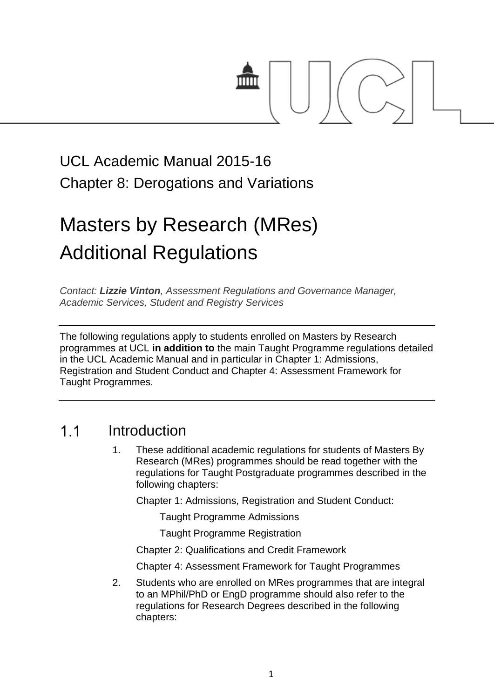

# UCL Academic Manual 2015-16 Chapter 8: Derogations and Variations

# Masters by Research (MRes) Additional Regulations

*Contact: [Lizzie Vinton](mailto:s.hinton@ucl.ac.uk), Assessment Regulations and Governance Manager, Academic Services, Student and Registry Services*

The following regulations apply to students enrolled on Masters by Research programmes at UCL **in addition to** the main Taught Programme regulations detailed in the UCL Academic Manual and in particular in Chapter 1: Admissions, Registration and Student Conduct and Chapter 4: Assessment Framework for Taught Programmes.

#### $1<sub>1</sub>$ Introduction

1. These additional academic regulations for students of Masters By Research (MRes) programmes should be read together with the regulations for Taught Postgraduate programmes described in the following chapters:

Chapter 1: Admissions, Registration and Student Conduct:

Taught Programme Admissions

Taught Programme Registration

Chapter 2: Qualifications and Credit Framework

Chapter 4: Assessment Framework for Taught Programmes

2. Students who are enrolled on MRes programmes that are integral to an MPhil/PhD or EngD programme should also refer to the regulations for Research Degrees described in the following chapters: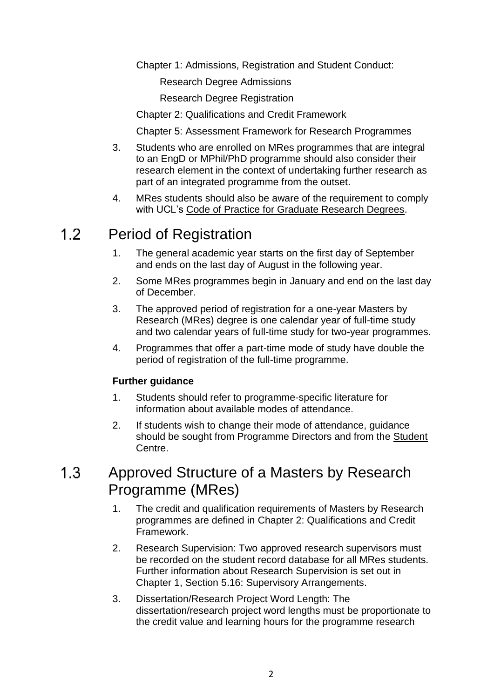Chapter 1: Admissions, Registration and Student Conduct:

Research Degree Admissions

Research Degree Registration

Chapter 2: Qualifications and Credit Framework

Chapter 5: Assessment Framework for Research Programmes

- 3. Students who are enrolled on MRes programmes that are integral to an EngD or MPhil/PhD programme should also consider their research element in the context of undertaking further research as part of an integrated programme from the outset.
- 4. MRes students should also be aware of the requirement to comply with UCL's [Code of Practice for Graduate Research Degrees.](http://www.grad.ucl.ac.uk/essinfo/)

#### $1.2<sub>1</sub>$ Period of Registration

- 1. The general academic year starts on the first day of September and ends on the last day of August in the following year.
- 2. Some MRes programmes begin in January and end on the last day of December.
- 3. The approved period of registration for a one-year Masters by Research (MRes) degree is one calendar year of full-time study and two calendar years of full-time study for two-year programmes.
- 4. Programmes that offer a part-time mode of study have double the period of registration of the full-time programme.

## **Further guidance**

- 1. Students should refer to programme-specific literature for information about available modes of attendance.
- 2. If students wish to change their mode of attendance, guidance should be sought from Programme Directors and from the [Student](http://www.ucl.ac.uk/current-students/student-centre)  [Centre.](http://www.ucl.ac.uk/current-students/student-centre)

#### $1.3$ Approved Structure of a Masters by Research Programme (MRes)

- 1. The credit and qualification requirements of Masters by Research programmes are defined in Chapter 2: Qualifications and Credit Framework.
- 2. Research Supervision: Two approved research supervisors must be recorded on the student record database for all MRes students. Further information about Research Supervision is set out in Chapter 1, Section 5.16: Supervisory Arrangements.
- 3. Dissertation/Research Project Word Length: The dissertation/research project word lengths must be proportionate to the credit value and learning hours for the programme research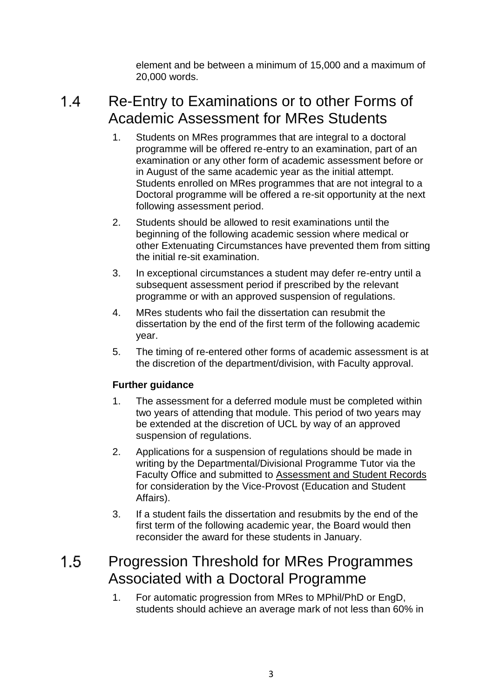element and be between a minimum of 15,000 and a maximum of 20,000 words.

#### $1.4$ Re-Entry to Examinations or to other Forms of Academic Assessment for MRes Students

- 1. Students on MRes programmes that are integral to a doctoral programme will be offered re-entry to an examination, part of an examination or any other form of academic assessment before or in August of the same academic year as the initial attempt. Students enrolled on MRes programmes that are not integral to a Doctoral programme will be offered a re-sit opportunity at the next following assessment period.
- 2. Students should be allowed to resit examinations until the beginning of the following academic session where medical or other Extenuating Circumstances have prevented them from sitting the initial re-sit examination.
- 3. In exceptional circumstances a student may defer re-entry until a subsequent assessment period if prescribed by the relevant programme or with an approved suspension of regulations.
- 4. MRes students who fail the dissertation can resubmit the dissertation by the end of the first term of the following academic year.
- 5. The timing of re-entered other forms of academic assessment is at the discretion of the department/division, with Faculty approval.

## **Further guidance**

- 1. The assessment for a deferred module must be completed within two years of attending that module. This period of two years may be extended at the discretion of UCL by way of an approved suspension of regulations.
- 2. Applications for a suspension of regulations should be made in writing by the Departmental/Divisional Programme Tutor via the Faculty Office and submitted to [Assessment and Student Records](http://www.ucl.ac.uk/srs/our-services/student-administration) for consideration by the Vice-Provost (Education and Student Affairs).
- 3. If a student fails the dissertation and resubmits by the end of the first term of the following academic year, the Board would then reconsider the award for these students in January.

#### $1.5$ Progression Threshold for MRes Programmes Associated with a Doctoral Programme

1. For automatic progression from MRes to MPhil/PhD or EngD, students should achieve an average mark of not less than 60% in